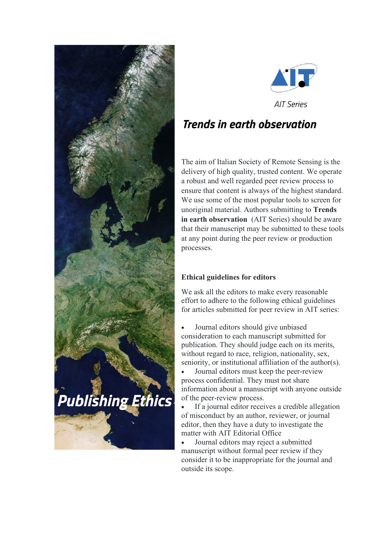



**AIT Series** 

# **Trends in earth observation**

The aim of Italian Society of Remote Sensing is the delivery of high quality, trusted content. We operate a robust and well regarded peer review process to ensure that content is always of the highest standard. We use some of the most popular tools to screen for unoriginal material. Authors submitting to **Trends in earth observation** (AIT Series) should be aware that their manuscript may be submitted to these tools at any point during the peer review or production processes.

## **Ethical guidelines for editors**

We ask all the editors to make every reasonable effort to adhere to the following ethical guidelines for articles submitted for peer review in AIT series:

• Journal editors should give unbiased consideration to each manuscript submitted for publication. They should judge each on its merits, without regard to race, religion, nationality, sex, seniority, or institutional affiliation of the author(s).

• Journal editors must keep the peer-review process confidential. They must not share information about a manuscript with anyone outside of the peer-review process.

If a journal editor receives a credible allegation of misconduct by an author, reviewer, or journal editor, then they have a duty to investigate the matter with AIT Editorial Office

• Journal editors may reject a submitted manuscript without formal peer review if they consider it to be inappropriate for the journal and outside its scope.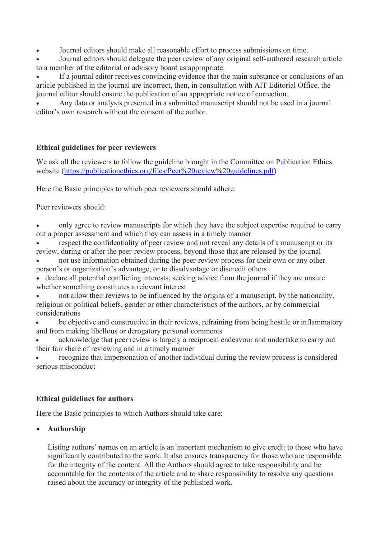• Journal editors should make all reasonable effort to process submissions on time.

• Journal editors should delegate the peer review of any original self-authored research article to a member of the editorial or advisory board as appropriate.

If a journal editor receives convincing evidence that the main substance or conclusions of an article published in the journal are incorrect, then, in consultation with AIT Editorial Office, the journal editor should ensure the publication of an appropriate notice of correction.

• Any data or analysis presented in a submitted manuscript should not be used in a journal editor's own research without the consent of the author.

#### **Ethical guidelines for peer reviewers**

We ask all the reviewers to follow the guideline brought in the Committee on Publication Ethics website [\(https://publicationethics.org/files/Peer%20review%20guidelines.pdf\)](https://publicationethics.org/files/Peer%20review%20guidelines.pdf)

Here the Basic principles to which peer reviewers should adhere:

Peer reviewers should:

• only agree to review manuscripts for which they have the subject expertise required to carry out a proper assessment and which they can assess in a timely manner

respect the confidentiality of peer review and not reveal any details of a manuscript or its review, during or after the peer-review process, beyond those that are released by the journal

• not use information obtained during the peer-review process for their own or any other person's or organization's advantage, or to disadvantage or discredit others

• declare all potential conflicting interests, seeking advice from the journal if they are unsure whether something constitutes a relevant interest

• not allow their reviews to be influenced by the origins of a manuscript, by the nationality, religious or political beliefs, gender or other characteristics of the authors, or by commercial considerations

• be objective and constructive in their reviews, refraining from being hostile or inflammatory and from making libellous or derogatory personal comments

• acknowledge that peer review is largely a reciprocal endeavour and undertake to carry out their fair share of reviewing and in a timely manner

• recognize that impersonation of another individual during the review process is considered serious misconduct

#### **Ethical guidelines for authors**

Here the Basic principles to which Authors should take care:

#### • **Authorship**

Listing authors' names on an article is an important mechanism to give credit to those who have significantly contributed to the work. It also ensures transparency for those who are responsible for the integrity of the content. All the Authors should agree to take responsibility and be accountable for the contents of the article and to share responsibility to resolve any questions raised about the accuracy or integrity of the published work.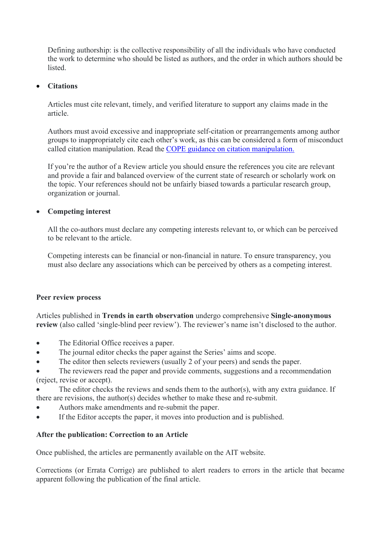Defining authorship: is the collective responsibility of all the individuals who have conducted the work to determine who should be listed as authors, and the order in which authors should be listed.

#### • **Citations**

Articles must cite relevant, timely, and verified literature to support any claims made in the article.

Authors must avoid excessive and inappropriate self-citation or prearrangements among author groups to inappropriately cite each other's work, as this can be considered a form of [misconduct](https://authorservices.taylorandfrancis.com/editorial-policies/misconduct) called citation manipulation. Read the [COPE guidance on citation manipulation.](https://authorservices.taylorandfrancis.com/wp-content/uploads/2015/09/ethics-infographic.png)

If you're the author of a Review article you should ensure the references you cite are relevant and provide a fair and balanced overview of the current state of research or scholarly work on the topic. Your references should not be unfairly biased towards a particular research group, organization or journal.

#### • **Competing interest**

All the co-authors must declare any competing interests relevant to, or which can be perceived to be relevant to the article.

Competing interests can be financial or non-financial in nature. To ensure transparency, you must also declare any associations which can be perceived by others as a competing interest.

#### **Peer review process**

Articles published in **Trends in earth observation** undergo comprehensive **Single-anonymous review** (also called 'single-blind peer review'). The reviewer's name isn't disclosed to the author.

- The Editorial Office receives a paper.
- The journal editor checks the paper against the Series' aims and scope.
- The editor then selects reviewers (usually 2 of your peers) and sends the paper.
- The reviewers read the paper and provide comments, suggestions and a recommendation (reject, revise or accept).
- The editor checks the reviews and sends them to the author(s), with any extra guidance. If there are revisions, the author(s) decides whether to make these and re-submit.
- Authors make amendments and re-submit the paper.
- If the Editor accepts the paper, it moves into production and is published.

### **After the publication: Correction to an Article**

Once published, the articles are permanently available on the AIT website.

Corrections (or Errata Corrige) are published to alert readers to errors in the article that became apparent following the publication of the final article.